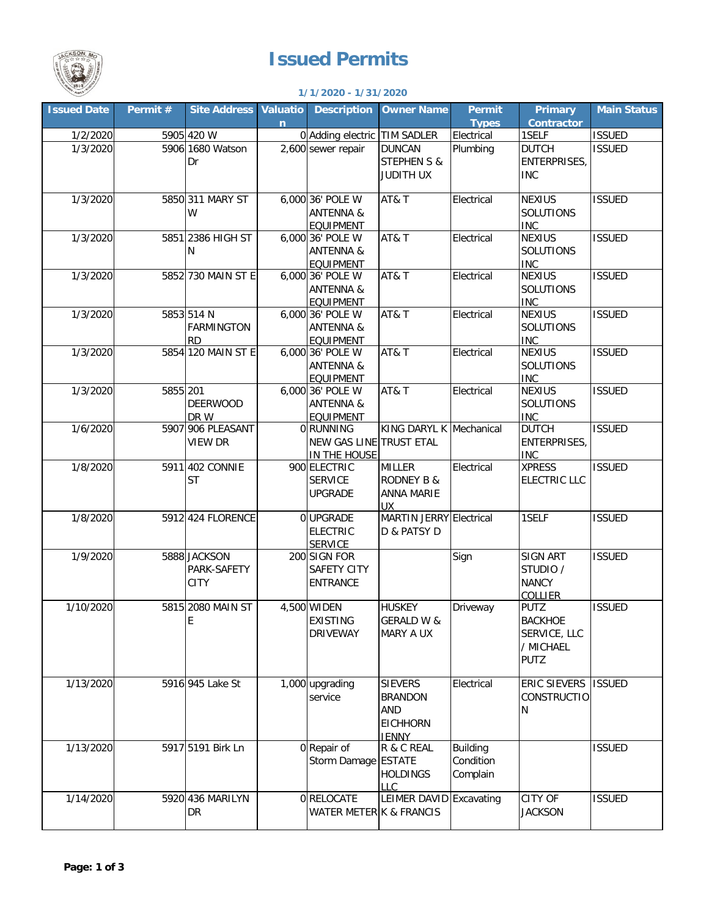

## **Issued Permits**

## **1/1/2020 - 1/31/2020**

| <b>Issued Date</b> | Permit#  | <b>Site Address</b>             | <b>Valuatio</b><br>n | <b>Description</b>                   | <b>Owner Name</b>       | <b>Permit</b><br><b>Types</b> | <b>Primary</b><br><b>Contractor</b> | <b>Main Status</b> |
|--------------------|----------|---------------------------------|----------------------|--------------------------------------|-------------------------|-------------------------------|-------------------------------------|--------------------|
| 1/2/2020           |          | 5905 420 W                      |                      | 0 Adding electric                    | <b>TIM SADLER</b>       | Electrical                    | 1SELF                               | <b>ISSUED</b>      |
| 1/3/2020           |          | 5906 1680 Watson                |                      | 2,600 sewer repair                   | <b>DUNCAN</b>           | Plumbing                      | <b>DUTCH</b>                        | <b>ISSUED</b>      |
|                    |          | Dr                              |                      |                                      | STEPHEN S &             |                               | ENTERPRISES,                        |                    |
|                    |          |                                 |                      |                                      | JUDITH UX               |                               | <b>INC</b>                          |                    |
|                    |          |                                 |                      |                                      |                         |                               |                                     |                    |
| 1/3/2020           |          | 5850 311 MARY ST                |                      | 6,000 36' POLE W                     | AT& T                   | Electrical                    | <b>NEXIUS</b>                       | <b>ISSUED</b>      |
|                    |          | W                               |                      | <b>ANTENNA &amp;</b>                 |                         |                               | SOLUTIONS                           |                    |
|                    |          |                                 |                      | <b>EQUIPMENT</b>                     |                         |                               | <b>INC</b>                          |                    |
| 1/3/2020           |          | 5851 2386 HIGH ST               |                      | 6,000 36' POLE W                     | AT& T                   | Electrical                    | <b>NEXIUS</b>                       | <b>ISSUED</b>      |
|                    |          | N                               |                      | <b>ANTENNA &amp;</b>                 |                         |                               | SOLUTIONS                           |                    |
|                    |          |                                 |                      | <b>EQUIPMENT</b>                     |                         |                               | <b>INC</b>                          |                    |
| 1/3/2020           |          | 5852 730 MAIN ST E              |                      | 6,000 36' POLE W                     | AT& T                   | Electrical                    | <b>NEXIUS</b>                       | <b>ISSUED</b>      |
|                    |          |                                 |                      | <b>ANTENNA &amp;</b>                 |                         |                               | SOLUTIONS                           |                    |
|                    |          |                                 |                      | <b>EQUIPMENT</b>                     |                         |                               | <b>INC</b>                          |                    |
| 1/3/2020           |          | 5853 514 N                      |                      | 6,000 36' POLE W                     | AT& T                   | Electrical                    | <b>NEXIUS</b>                       | <b>ISSUED</b>      |
|                    |          | <b>FARMINGTON</b>               |                      | <b>ANTENNA &amp;</b>                 |                         |                               | SOLUTIONS                           |                    |
| 1/3/2020           |          | <b>RD</b><br>5854 120 MAIN ST E |                      | <b>EQUIPMENT</b><br>6,000 36' POLE W | AT& T                   | Electrical                    | <b>INC</b><br><b>NEXIUS</b>         | <b>ISSUED</b>      |
|                    |          |                                 |                      | <b>ANTENNA &amp;</b>                 |                         |                               | SOLUTIONS                           |                    |
|                    |          |                                 |                      |                                      |                         |                               | <b>INC</b>                          |                    |
| 1/3/2020           | 5855 201 |                                 |                      | <b>EQUIPMENT</b><br>6,000 36' POLE W | AT& T                   | Electrical                    | <b>NEXIUS</b>                       | <b>ISSUED</b>      |
|                    |          | <b>DEERWOOD</b>                 |                      | <b>ANTENNA &amp;</b>                 |                         |                               | SOLUTIONS                           |                    |
|                    |          | DR W                            |                      | <b>EQUIPMENT</b>                     |                         |                               | <b>INC</b>                          |                    |
| 1/6/2020           |          | 5907 906 PLEASANT               |                      | 0RUNNING                             | KING DARYL K Mechanical |                               | <b>DUTCH</b>                        | <b>ISSUED</b>      |
|                    |          | <b>VIEW DR</b>                  |                      | NEW GAS LINE TRUST ETAL              |                         |                               | ENTERPRISES,                        |                    |
|                    |          |                                 |                      | IN THE HOUSE                         |                         |                               | <b>INC</b>                          |                    |
| 1/8/2020           |          | 5911 402 CONNIE                 |                      | 900 ELECTRIC                         | <b>MILLER</b>           | Electrical                    | <b>XPRESS</b>                       | <b>ISSUED</b>      |
|                    |          | <b>ST</b>                       |                      | <b>SERVICE</b>                       | <b>RODNEY B &amp;</b>   |                               | <b>ELECTRIC LLC</b>                 |                    |
|                    |          |                                 |                      | <b>UPGRADE</b>                       | <b>ANNA MARIE</b>       |                               |                                     |                    |
|                    |          |                                 |                      |                                      | <b>UX</b>               |                               |                                     |                    |
| 1/8/2020           |          | 5912 424 FLORENCE               |                      | 0UPGRADE                             | MARTIN JERRY Electrical |                               | 1SELF                               | <b>ISSUED</b>      |
|                    |          |                                 |                      | <b>ELECTRIC</b>                      | D & PATSY D             |                               |                                     |                    |
|                    |          |                                 |                      | <b>SERVICE</b>                       |                         |                               |                                     |                    |
| 1/9/2020           |          | 5888 JACKSON                    |                      | 200 SIGN FOR                         |                         | Sign                          | <b>SIGN ART</b>                     | <b>ISSUED</b>      |
|                    |          | PARK-SAFETY                     |                      | <b>SAFETY CITY</b>                   |                         |                               | STUDIO /                            |                    |
|                    |          | <b>CITY</b>                     |                      | <b>ENTRANCE</b>                      |                         |                               | <b>NANCY</b>                        |                    |
|                    |          |                                 |                      |                                      |                         |                               | COLLIER                             |                    |
| 1/10/2020          |          | 5815 2080 MAIN ST               |                      | 4,500 WIDEN                          | <b>HUSKEY</b>           | Driveway                      | <b>PUTZ</b>                         | <b>ISSUED</b>      |
|                    |          | E                               |                      | <b>EXISTING</b>                      | <b>GERALD W &amp;</b>   |                               | <b>BACKHOE</b>                      |                    |
|                    |          |                                 |                      | <b>DRIVEWAY</b>                      | <b>MARY A UX</b>        |                               | SERVICE, LLC                        |                    |
|                    |          |                                 |                      |                                      |                         |                               | / MICHAEL                           |                    |
|                    |          |                                 |                      |                                      |                         |                               | <b>PUTZ</b>                         |                    |
| 1/13/2020          |          | 5916 945 Lake St                |                      | 1,000 upgrading                      | <b>SIEVERS</b>          | Electrical                    | ERIC SIEVERS                        | <b>ISSUED</b>      |
|                    |          |                                 |                      | service                              | <b>BRANDON</b>          |                               | CONSTRUCTIO                         |                    |
|                    |          |                                 |                      |                                      | AND                     |                               | N                                   |                    |
|                    |          |                                 |                      |                                      | <b>EICHHORN</b>         |                               |                                     |                    |
|                    |          |                                 |                      |                                      | <b>JENNY</b>            |                               |                                     |                    |
| 1/13/2020          |          | 5917 5191 Birk Ln               |                      | 0 Repair of                          | R & C REAL              | <b>Building</b>               |                                     | <b>ISSUED</b>      |
|                    |          |                                 |                      | Storm Damage ESTATE                  |                         | Condition                     |                                     |                    |
|                    |          |                                 |                      |                                      | <b>HOLDINGS</b>         | Complain                      |                                     |                    |
|                    |          |                                 |                      |                                      | <b>LLC</b>              |                               |                                     |                    |
| 1/14/2020          |          | 5920 436 MARILYN                |                      | 0RELOCATE                            | LEIMER DAVID            | Excavating                    | CITY OF                             | <b>ISSUED</b>      |
|                    |          | DR                              |                      | WATER METER K & FRANCIS              |                         |                               | <b>JACKSON</b>                      |                    |
|                    |          |                                 |                      |                                      |                         |                               |                                     |                    |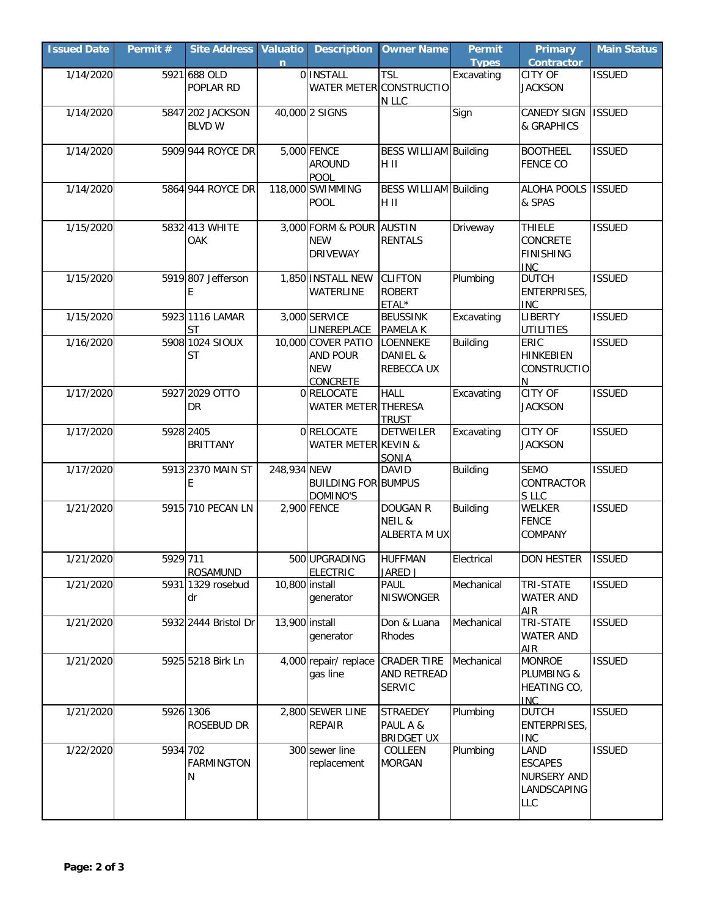| <b>Issued Date</b> | Permit # | <b>Site Address</b>  | <b>Valuatio</b>             | <b>Description</b>         | <b>Owner Name</b>            | <b>Permit</b>   | Primary            | <b>Main Status</b> |
|--------------------|----------|----------------------|-----------------------------|----------------------------|------------------------------|-----------------|--------------------|--------------------|
|                    |          |                      | n.                          |                            |                              | <b>Types</b>    | <b>Contractor</b>  |                    |
| 1/14/2020          |          | 5921 688 OLD         |                             | 0 INSTALL                  | <b>TSL</b>                   | Excavating      | CITY OF            | <b>ISSUED</b>      |
|                    |          | POPLAR RD            |                             |                            | WATER METER CONSTRUCTIO      |                 | <b>JACKSON</b>     |                    |
|                    |          |                      |                             |                            | N LLC                        |                 |                    |                    |
| 1/14/2020          |          | 5847 202 JACKSON     |                             | 40,000 2 SIGNS             |                              | Sign            | CANEDY SIGN        | <b>ISSUED</b>      |
|                    |          | <b>BLVD W</b>        |                             |                            |                              |                 | & GRAPHICS         |                    |
|                    |          |                      |                             |                            |                              |                 |                    |                    |
| 1/14/2020          |          | 5909 944 ROYCE DR    |                             | 5,000 FENCE                | <b>BESS WILLIAM Building</b> |                 | <b>BOOTHEEL</b>    | <b>ISSUED</b>      |
|                    |          |                      |                             | <b>AROUND</b>              | IH II                        |                 | <b>FENCE CO</b>    |                    |
|                    |          |                      |                             | POOL                       |                              |                 |                    |                    |
| 1/14/2020          |          | 5864 944 ROYCE DR    |                             | 118,000 SWIMMING           | <b>BESS WILLIAM Building</b> |                 | ALOHA POOLS ISSUED |                    |
|                    |          |                      |                             | <b>POOL</b>                | H II                         |                 | & SPAS             |                    |
|                    |          |                      |                             |                            |                              |                 |                    |                    |
| 1/15/2020          |          | 5832 413 WHITE       |                             | 3,000 FORM & POUR AUSTIN   |                              | Driveway        | <b>THIELE</b>      | <b>ISSUED</b>      |
|                    |          | OAK                  |                             | <b>NEW</b>                 | <b>RENTALS</b>               |                 | CONCRETE           |                    |
|                    |          |                      |                             | <b>DRIVEWAY</b>            |                              |                 | <b>FINISHING</b>   |                    |
|                    |          |                      |                             |                            |                              |                 | <b>INC</b>         |                    |
| 1/15/2020          |          | 5919 807 Jefferson   |                             | 1,850 INSTALL NEW          | <b>CLIFTON</b>               | Plumbing        | <b>DUTCH</b>       | <b>ISSUED</b>      |
|                    |          | E                    |                             | WATERLINE                  | <b>ROBERT</b>                |                 | ENTERPRISES,       |                    |
|                    |          |                      |                             |                            | ETAL*                        |                 | <b>INC</b>         |                    |
| 1/15/2020          |          | 5923 1116 LAMAR      |                             | 3,000 SERVICE              | <b>BEUSSINK</b>              | Excavating      | <b>LIBERTY</b>     | <b>ISSUED</b>      |
|                    |          | <b>ST</b>            |                             | LINEREPLACE                | PAMELA K                     |                 | <b>UTILITIES</b>   |                    |
| 1/16/2020          |          | 5908 1024 SIOUX      |                             | 10,000 COVER PATIO         | <b>LOENNEKE</b>              | <b>Building</b> | ERIC               | <b>ISSUED</b>      |
|                    |          | <b>ST</b>            |                             | <b>AND POUR</b>            | DANIEL &                     |                 | <b>HINKEBIEN</b>   |                    |
|                    |          |                      |                             | <b>NEW</b>                 | REBECCA UX                   |                 | <b>CONSTRUCTIO</b> |                    |
|                    |          |                      |                             | <b>CONCRETE</b>            |                              |                 | N                  |                    |
| 1/17/2020          |          | 5927 2029 OTTO       |                             | 0 RELOCATE                 | <b>HALL</b>                  | Excavating      | CITY OF            | <b>ISSUED</b>      |
|                    |          | <b>DR</b>            |                             | WATER METER THERESA        |                              |                 | <b>JACKSON</b>     |                    |
|                    |          |                      |                             |                            | <b>TRUST</b>                 |                 |                    |                    |
| 1/17/2020          |          | 5928 2405            |                             | 0RELOCATE                  | <b>DETWEILER</b>             | Excavating      | <b>CITY OF</b>     | <b>ISSUED</b>      |
|                    |          | <b>BRITTANY</b>      |                             | WATER METER KEVIN &        |                              |                 | <b>JACKSON</b>     |                    |
|                    |          |                      |                             |                            | <b>SONJA</b>                 |                 |                    |                    |
| 1/17/2020          |          | 5913 2370 MAIN ST    | 248,934 NEW                 |                            | <b>DAVID</b>                 | <b>Building</b> | <b>SEMO</b>        | <b>ISSUED</b>      |
|                    |          | E                    |                             | <b>BUILDING FOR BUMPUS</b> |                              |                 | CONTRACTOR         |                    |
|                    |          |                      |                             | <b>DOMINO'S</b>            |                              |                 | S LLC              |                    |
| 1/21/2020          |          | 5915 710 PECAN LN    |                             | 2,900 FENCE                | <b>DOUGAN R</b>              | <b>Building</b> | <b>WELKER</b>      | <b>ISSUED</b>      |
|                    |          |                      |                             |                            | NEIL &                       |                 | <b>FENCE</b>       |                    |
|                    |          |                      |                             |                            | ALBERTA M UX                 |                 | COMPANY            |                    |
|                    |          |                      |                             |                            |                              |                 |                    |                    |
| 1/21/2020          | 5929 711 |                      |                             | 500 UPGRADING              | <b>HUFFMAN</b>               | Electrical      | <b>DON HESTER</b>  | <b>ISSUED</b>      |
|                    |          | <b>ROSAMUND</b>      |                             | <b>ELECTRIC</b>            | JARED J                      |                 |                    |                    |
| 1/21/2020          |          | 5931 1329 rosebud    | $\overline{10,800}$ install |                            | PAUL                         | Mechanical      | TRI-STATE          | <b>ISSUED</b>      |
|                    |          | dr                   |                             | generator                  | NISWONGER                    |                 | <b>WATER AND</b>   |                    |
|                    |          |                      |                             |                            |                              |                 | <b>AIR</b>         |                    |
| 1/21/2020          |          | 5932 2444 Bristol Dr | 13,900 install              |                            | Don & Luana                  | Mechanical      | <b>TRI-STATE</b>   | <b>ISSUED</b>      |
|                    |          |                      |                             | generator                  | Rhodes                       |                 | <b>WATER AND</b>   |                    |
|                    |          |                      |                             |                            |                              |                 | AIR                |                    |
| 1/21/2020          |          | 5925 5218 Birk Ln    |                             | 4,000 repair/ replace      | <b>CRADER TIRE</b>           | Mechanical      | <b>MONROE</b>      | <b>ISSUED</b>      |
|                    |          |                      |                             | gas line                   | AND RETREAD                  |                 | PLUMBING &         |                    |
|                    |          |                      |                             |                            | <b>SERVIC</b>                |                 | HEATING CO,        |                    |
|                    |          |                      |                             |                            |                              |                 | <b>INC</b>         |                    |
| 1/21/2020          |          | 5926 1306            |                             | 2,800 SEWER LINE           | <b>STRAEDEY</b>              | Plumbing        | <b>DUTCH</b>       | <b>ISSUED</b>      |
|                    |          | ROSEBUD DR           |                             | <b>REPAIR</b>              | PAUL A &                     |                 | ENTERPRISES,       |                    |
|                    |          |                      |                             |                            | <b>BRIDGET UX</b>            |                 | <b>INC</b>         |                    |
| 1/22/2020          | 5934 702 |                      |                             | 300 sewer line             | COLLEEN                      | Plumbing        | LAND               | <b>ISSUED</b>      |
|                    |          | <b>FARMINGTON</b>    |                             | replacement                | <b>MORGAN</b>                |                 | <b>ESCAPES</b>     |                    |
|                    |          | N                    |                             |                            |                              |                 | NURSERY AND        |                    |
|                    |          |                      |                             |                            |                              |                 | LANDSCAPING        |                    |
|                    |          |                      |                             |                            |                              |                 | LLC                |                    |
|                    |          |                      |                             |                            |                              |                 |                    |                    |